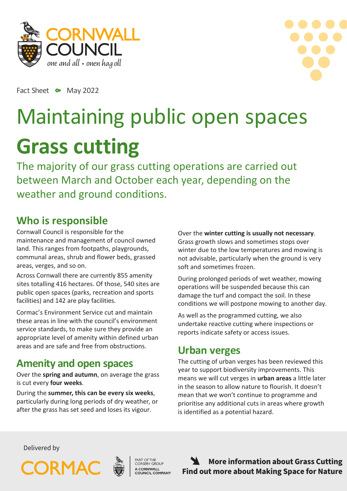



Fact Sheet •• May 2022

# Maintaining public open spaces **Grass cutting**

The majority of our grass cutting operations are carried out between March and October each year, depending on the weather and ground conditions.

#### **Who is responsible**

Cornwall Council is responsible for the maintenance and management of council owned land. This ranges from footpaths, playgrounds, communal areas, shrub and flower beds, grassed areas, verges, and so on.

Across Cornwall there are currently 855 amenity sites totalling 416 hectares. Of those, 540 sites are public open spaces (parks, recreation and sports facilities) and 142 are play facilities.

Cormac's Environment Service cut and maintain these areas in line with the council's environment service standards, to make sure they provide an appropriate level of amenity within defined urban areas and are safe and free from obstructions.

#### **Amenity and open spaces**

Over the **spring and autumn**, on average the grass is cut every **four weeks**.

During the **summer, this can be every six weeks**, particularly during long periods of dry weather, or after the grass has set seed and loses its vigour.

Over the **winter cutting is usually not necessary**. Grass growth slows and sometimes stops over winter due to the low temperatures and mowing is not advisable, particularly when the ground is very soft and sometimes frozen.

During prolonged periods of wet weather, mowing operations will be suspended because this can damage the turf and compact the soil. In these conditions we will postpone mowing to another day.

As well as the programmed cutting, we also undertake reactive cutting where inspections or reports indicate safety or access issues.

# **Urban verges**

The cutting of urban verges has been reviewed this year to support biodiversity improvements. This means we will cut verges in **urban areas** a little later in the season to allow nature to flourish. It doesn't mean that we won't continue to programme and prioritise any additional cuts in areas where growth is identified as a potential hazard.

Delivered by





PART OF THE<br>CORSERV GROUP A CORNWALL<br>COUNCIL COMPANY

**[More information about Grass Cutting](https://www.cornwall.gov.uk/parks-leisure-and-culture/parks-and-open-spaces/making-space-for-nature/verge-management-and-grass-cutting/) [Find out more about Making Space for Nature](https://www.cornwall.gov.uk/parks-leisure-and-culture/parks-and-open-spaces/making-space-for-nature/)**